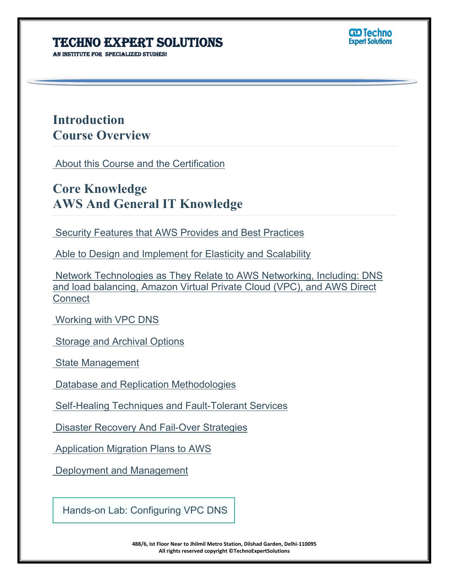**AN INSTITUTE FOR SPECIALIZED STUDI** 



## **Introduction Course Overview**

About this Course and the Certification

# **Core Knowledge AWS And General IT Knowledge**

Security Features that AWS Provides and Best Practices

Able to Design and Implement for Elasticity and Scalability

 Network Technologies as They Relate to AWS Networking, Including: DNS and load balancing, Amazon Virtual Private Cloud (VPC), and AWS Direct **Connect** 

Working with VPC DNS

Storage and Archival Options

State Management

Database and Replication Methodologies

Self-Healing Techniques and Fault-Tolerant Services

Disaster Recovery And Fail-Over Strategies

Application Migration Plans to AWS

Deployment and Management

Hands-on Lab: Configuring VPC DNS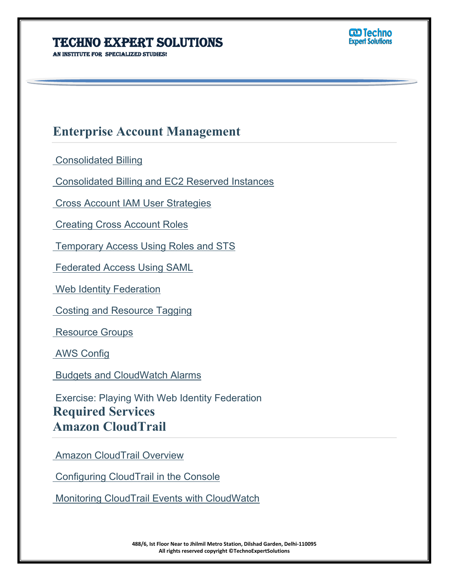**An institute for specialized studies!**



## **Enterprise Account Management**

Consolidated Billing

Consolidated Billing and EC2 Reserved Instances

Cross Account IAM User Strategies

Creating Cross Account Roles

Temporary Access Using Roles and STS

Federated Access Using SAML

Web Identity Federation

Costing and Resource Tagging

Resource Groups

AWS Config

Budgets and CloudWatch Alarms

 Exercise: Playing With Web Identity Federation **Required Services Amazon CloudTrail**

**Amazon CloudTrail Overview** 

Configuring CloudTrail in the Console

Monitoring CloudTrail Events with CloudWatch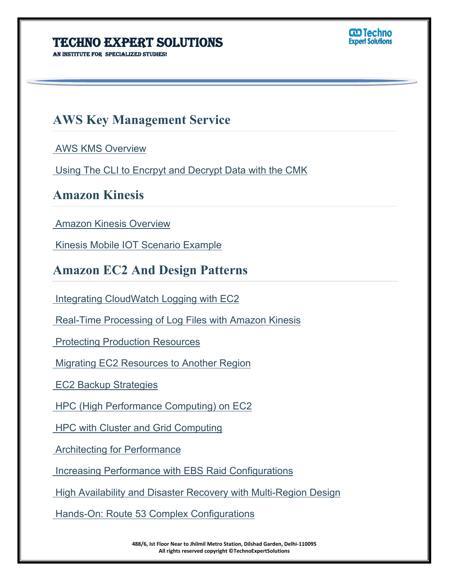**An institute for specialized studies!**



## **AWS Key Management Service**

AWS KMS Overview

Using The CLI to Encrpyt and Decrypt Data with the CMK

#### **Amazon Kinesis**

Amazon Kinesis Overview

Kinesis Mobile IOT Scenario Example

#### **Amazon EC2 And Design Patterns**

Integrating CloudWatch Logging with EC2

Real-Time Processing of Log Files with Amazon Kinesis

Protecting Production Resources

Migrating EC2 Resources to Another Region

EC2 Backup Strategies

HPC (High Performance Computing) on EC2

HPC with Cluster and Grid Computing

Architecting for Performance

Increasing Performance with EBS Raid Configurations

High Availability and Disaster Recovery with Multi-Region Design

Hands-On: Route 53 Complex Configurations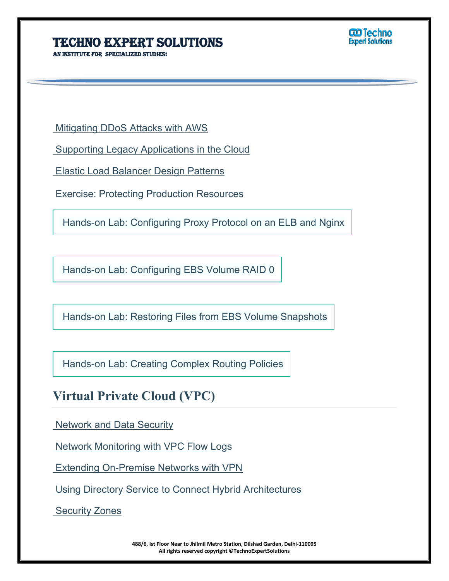**An institute for specialized studies!**



Mitigating DDoS Attacks with AWS

Supporting Legacy Applications in the Cloud

Elastic Load Balancer Design Patterns

Exercise: Protecting Production Resources

Hands-on Lab: Configuring Proxy Protocol on an ELB and Nginx

Hands-on Lab: Configuring EBS Volume RAID 0

Hands-on Lab: Restoring Files from EBS Volume Snapshots

Hands-on Lab: Creating Complex Routing Policies

# **Virtual Private Cloud (VPC)**

Network and Data Security

Network Monitoring with VPC Flow Logs

Extending On-Premise Networks with VPN

Using Directory Service to Connect Hybrid Architectures

Security Zones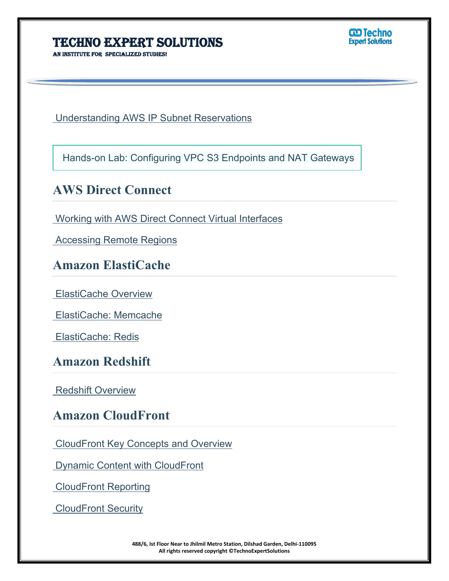**AN INSTITUTE FOR SPECIALIZED STUDI** 

**W** Techno

Understanding AWS IP Subnet Reservations

Hands-on Lab: Configuring VPC S3 Endpoints and NAT Gateways

### **AWS Direct Connect**

Working with AWS Direct Connect Virtual Interfaces

Accessing Remote Regions

### **Amazon ElastiCache**

ElastiCache Overview

ElastiCache: Memcache

ElastiCache: Redis

### **Amazon Redshift**

Redshift Overview

## **Amazon CloudFront**

CloudFront Key Concepts and Overview

Dynamic Content with CloudFront

CloudFront Reporting

CloudFront Security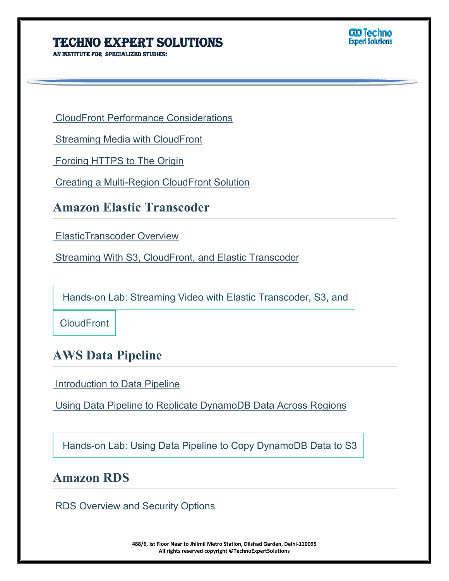**An institute for specialized studies!**



CloudFront Performance Considerations

Streaming Media with CloudFront

Forcing HTTPS to The Origin

Creating a Multi-Region CloudFront Solution

## **Amazon Elastic Transcoder**

ElasticTranscoder Overview

Streaming With S3, CloudFront, and Elastic Transcoder

Hands-on Lab: Streaming Video with Elastic Transcoder, S3, and

**CloudFront** 

## **AWS Data Pipeline**

Introduction to Data Pipeline

Using Data Pipeline to Replicate DynamoDB Data Across Regions

Hands-on Lab: Using Data Pipeline to Copy DynamoDB Data to S3

### **Amazon RDS**

RDS Overview and Security Options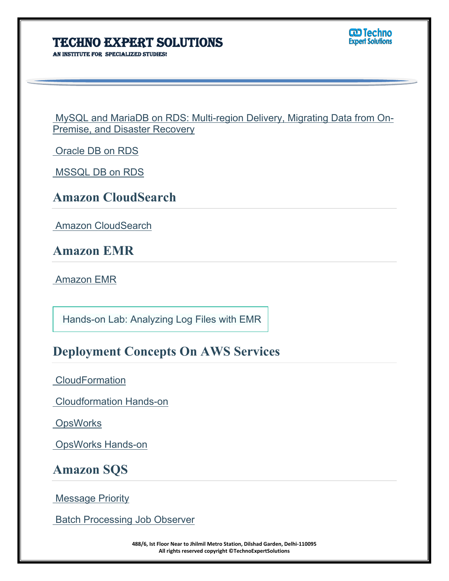**AN INSTITUTE FOR SPECIALIZED STUDI** 

**W** Techno

 MySQL and MariaDB on RDS: Multi-region Delivery, Migrating Data from On-Premise, and Disaster Recovery

Oracle DB on RDS

MSSQL DB on RDS

|  | <b>Amazon CloudSearch</b> |
|--|---------------------------|
|--|---------------------------|

Amazon CloudSearch

**Amazon EMR**

Amazon EMR

Hands-on Lab: Analyzing Log Files with EMR

# **Deployment Concepts On AWS Services**

**CloudFormation** 

Cloudformation Hands-on

**OpsWorks** 

OpsWorks Hands-on

### **Amazon SQS**

Message Priority

Batch Processing Job Observer